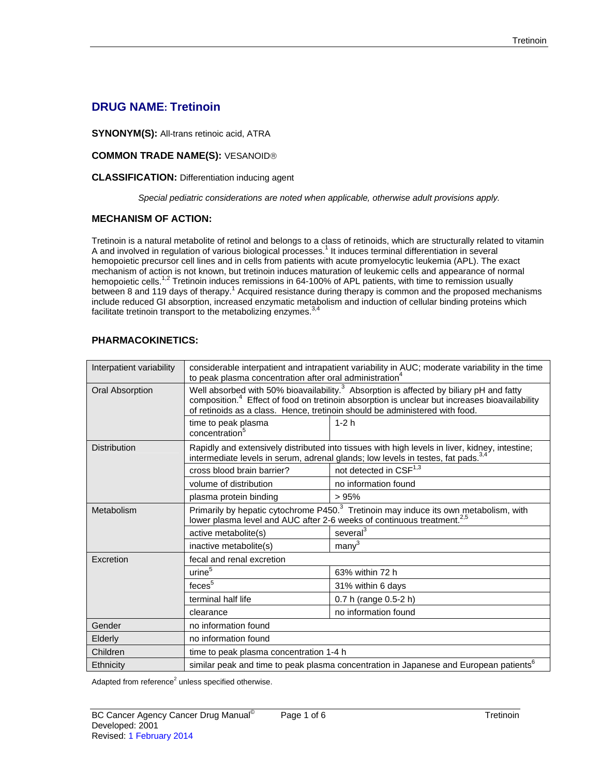# **DRUG NAME: Tretinoin**

**SYNONYM(S):** All-trans retinoic acid, ATRA

# **COMMON TRADE NAME(S):** VESANOID®

#### **CLASSIFICATION:** Differentiation inducing agent

*Special pediatric considerations are noted when applicable, otherwise adult provisions apply.* 

# **MECHANISM OF ACTION:**

Tretinoin is a natural metabolite of retinol and belongs to a class of retinoids, which are structurally related to vitamin A and involved in regulation of various biological processes.<sup>1</sup> It induces terminal differentiation in several hemopoietic precursor cell lines and in cells from patients with acute promyelocytic leukemia (APL). The exact mechanism of action is not known, but tretinoin induces maturation of leukemic cells and appearance of normal hemopoietic cells.<sup>1,2</sup> Tretinoin induces remissions in 64-100% of APL patients, with time to remission usually between 8 and 119 days of therapy.<sup>1</sup> Acquired resistance during therapy is common and the proposed mechanisms include reduced GI absorption, increased enzymatic metabolism and induction of cellular binding proteins which facilitate tretinoin transport to the metabolizing enzymes.<sup>3,4</sup>

# **PHARMACOKINETICS:**

| Interpatient variability | considerable interpatient and intrapatient variability in AUC; moderate variability in the time<br>to peak plasma concentration after oral administration <sup>4</sup>                                                                                                                          |                                    |  |
|--------------------------|-------------------------------------------------------------------------------------------------------------------------------------------------------------------------------------------------------------------------------------------------------------------------------------------------|------------------------------------|--|
| <b>Oral Absorption</b>   | Well absorbed with 50% bioavailability. <sup>3</sup> Absorption is affected by biliary pH and fatty<br>composition. <sup>4</sup> Effect of food on tretinoin absorption is unclear but increases bioavailability<br>of retinoids as a class. Hence, tretinoin should be administered with food. |                                    |  |
|                          | time to peak plasma<br>concentration <sup>5</sup>                                                                                                                                                                                                                                               | $1-2h$                             |  |
| <b>Distribution</b>      | Rapidly and extensively distributed into tissues with high levels in liver, kidney, intestine;<br>intermediate levels in serum, adrenal glands; low levels in testes, fat pads. <sup>3,4</sup>                                                                                                  |                                    |  |
|                          | cross blood brain barrier?                                                                                                                                                                                                                                                                      | not detected in CSF <sup>1,3</sup> |  |
|                          | volume of distribution                                                                                                                                                                                                                                                                          | no information found               |  |
|                          | plasma protein binding                                                                                                                                                                                                                                                                          | >95%                               |  |
| Metabolism               | Primarily by hepatic cytochrome P450. <sup>3</sup> Tretinoin may induce its own metabolism, with<br>lower plasma level and AUC after 2-6 weeks of continuous treatment. <sup>2,5</sup>                                                                                                          |                                    |  |
|                          | active metabolite(s)                                                                                                                                                                                                                                                                            | several <sup>3</sup>               |  |
|                          | inactive metabolite(s)                                                                                                                                                                                                                                                                          | many <sup>3</sup>                  |  |
| Excretion                | fecal and renal excretion                                                                                                                                                                                                                                                                       |                                    |  |
|                          | urine <sup>5</sup>                                                                                                                                                                                                                                                                              | 63% within 72 h                    |  |
|                          | feces <sup>5</sup>                                                                                                                                                                                                                                                                              | 31% within 6 days                  |  |
|                          | terminal half life                                                                                                                                                                                                                                                                              | 0.7 h (range 0.5-2 h)              |  |
|                          | clearance                                                                                                                                                                                                                                                                                       | no information found               |  |
| Gender                   | no information found                                                                                                                                                                                                                                                                            |                                    |  |
| Elderly                  | no information found                                                                                                                                                                                                                                                                            |                                    |  |
| Children                 | time to peak plasma concentration 1-4 h                                                                                                                                                                                                                                                         |                                    |  |
| Ethnicity                | similar peak and time to peak plasma concentration in Japanese and European patients <sup>6</sup>                                                                                                                                                                                               |                                    |  |

Adapted from reference $2$  unless specified otherwise.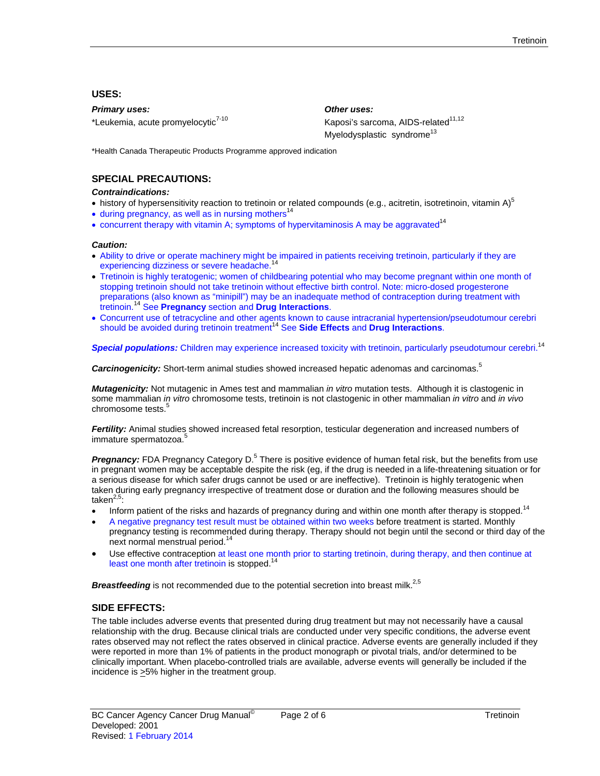# **USES:**

*Primary uses: Other uses:* 

\*Leukemia, acute promyelocytic<sup>7-10</sup> Kaposi's sarcoma, AIDS-related<sup>11,12</sup>

Myelodysplastic syndrome<sup>13</sup>

\*Health Canada Therapeutic Products Programme approved indication

# **SPECIAL PRECAUTIONS:**

#### *Contraindications:*

- history of hypersensitivity reaction to tretinoin or related compounds (e.g., acitretin, isotretinoin, vitamin A) $^5$
- $\bullet$  during pregnancy, as well as in nursing mothers<sup>14</sup>
- concurrent therapy with vitamin A; symptoms of hypervitaminosis A may be aggravated<sup>14</sup>

#### *Caution:*

- Ability to drive or operate machinery might be impaired in patients receiving tretinoin, particularly if they are experiencing dizziness or severe headache.<sup>14</sup>
- Tretinoin is highly teratogenic; women of childbearing potential who may become pregnant within one month of stopping tretinoin should not take tretinoin without effective birth control. Note: micro-dosed progesterone preparations (also known as "minipill") may be an inadequate method of contraception during treatment with tretinoin.14 See **Pregnancy** section and **Drug Interactions**.
- Concurrent use of tetracycline and other agents known to cause intracranial hypertension/pseudotumour cerebri should be avoided during tretinoin treatment<sup>14</sup> See Side Effects and Drug Interactions.

**Special populations:** Children may experience increased toxicity with tretinoin, particularly pseudotumour cerebri.<sup>14</sup>

*Carcinogenicity:* Short-term animal studies showed increased hepatic adenomas and carcinomas.5

*Mutagenicity:* Not mutagenic in Ames test and mammalian *in vitro* mutation tests. Although it is clastogenic in some mammalian *in vitro* chromosome tests, tretinoin is not clastogenic in other mammalian *in vitro* and *in vivo*  chromosome tests.<sup>5</sup>

*Fertility:* Animal studies showed increased fetal resorption, testicular degeneration and increased numbers of immature spermatozoa.<sup>5</sup>

Pregnancy: FDA Pregnancy Category D.<sup>5</sup> There is positive evidence of human fetal risk, but the benefits from use in pregnant women may be acceptable despite the risk (eg, if the drug is needed in a life-threatening situation or for a serious disease for which safer drugs cannot be used or are ineffective). Tretinoin is highly teratogenic when taken during early pregnancy irrespective of treatment dose or duration and the following measures should be take $n^{2,5}$ :

- Inform patient of the risks and hazards of pregnancy during and within one month after therapy is stopped.<sup>14</sup>
- A negative pregnancy test result must be obtained within two weeks before treatment is started. Monthly pregnancy testing is recommended during therapy. Therapy should not begin until the second or third day of the next normal menstrual period.<sup>14</sup>
- Use effective contraception at least one month prior to starting tretinoin, during therapy, and then continue at least one month after tretinoin is stopped.<sup>14</sup>

**Breastfeeding** is not recommended due to the potential secretion into breast milk.<sup>2,5</sup>

# **SIDE EFFECTS:**

The table includes adverse events that presented during drug treatment but may not necessarily have a causal relationship with the drug. Because clinical trials are conducted under very specific conditions, the adverse event rates observed may not reflect the rates observed in clinical practice. Adverse events are generally included if they were reported in more than 1% of patients in the product monograph or pivotal trials, and/or determined to be clinically important. When placebo-controlled trials are available, adverse events will generally be included if the incidence is >5% higher in the treatment group.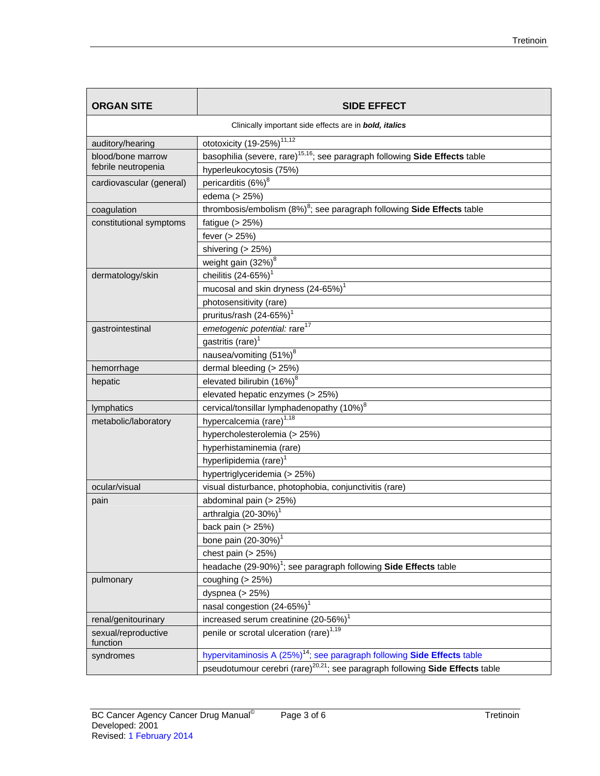| <b>ORGAN SITE</b>                                             | <b>SIDE EFFECT</b>                                                                         |  |  |
|---------------------------------------------------------------|--------------------------------------------------------------------------------------------|--|--|
| Clinically important side effects are in <b>bold, italics</b> |                                                                                            |  |  |
| auditory/hearing                                              | ototoxicity (19-25%) <sup>11,12</sup>                                                      |  |  |
| blood/bone marrow                                             | basophilia (severe, rare) <sup>15,16</sup> ; see paragraph following Side Effects table    |  |  |
| febrile neutropenia                                           | hyperleukocytosis (75%)                                                                    |  |  |
| cardiovascular (general)                                      | pericarditis (6%) <sup>8</sup>                                                             |  |  |
|                                                               | edema (> 25%)                                                                              |  |  |
| coagulation                                                   | thrombosis/embolism $(8\%)^8$ ; see paragraph following Side Effects table                 |  |  |
| constitutional symptoms                                       | fatigue $(> 25%)$                                                                          |  |  |
|                                                               | fever (> 25%)                                                                              |  |  |
|                                                               | shivering (> 25%)                                                                          |  |  |
|                                                               | weight gain (32%) <sup>8</sup>                                                             |  |  |
| dermatology/skin                                              | cheilitis $(24-65%)1$                                                                      |  |  |
|                                                               | mucosal and skin dryness (24-65%) <sup>1</sup>                                             |  |  |
|                                                               | photosensitivity (rare)                                                                    |  |  |
|                                                               | pruritus/rash (24-65%) <sup>1</sup>                                                        |  |  |
| gastrointestinal                                              | emetogenic potential: rare <sup>17</sup>                                                   |  |  |
|                                                               | gastritis (rare) <sup>1</sup>                                                              |  |  |
|                                                               | nausea/vomiting (51%) <sup>8</sup>                                                         |  |  |
| hemorrhage                                                    | dermal bleeding (> 25%)                                                                    |  |  |
| hepatic                                                       | elevated bilirubin (16%) <sup>8</sup>                                                      |  |  |
|                                                               | elevated hepatic enzymes (> 25%)                                                           |  |  |
| lymphatics                                                    | cervical/tonsillar lymphadenopathy (10%) <sup>8</sup>                                      |  |  |
| metabolic/laboratory                                          | hypercalcemia (rare) <sup>1,18</sup>                                                       |  |  |
|                                                               | hypercholesterolemia (> 25%)                                                               |  |  |
|                                                               | hyperhistaminemia (rare)                                                                   |  |  |
|                                                               | hyperlipidemia (rare) <sup>1</sup>                                                         |  |  |
|                                                               | hypertriglyceridemia (> 25%)                                                               |  |  |
| ocular/visual                                                 | visual disturbance, photophobia, conjunctivitis (rare)                                     |  |  |
| pain                                                          | abdominal pain (> 25%)                                                                     |  |  |
|                                                               | arthralgia (20-30%) <sup>1</sup>                                                           |  |  |
|                                                               | back pain $(> 25%)$                                                                        |  |  |
|                                                               | bone pain (20-30%) <sup>1</sup>                                                            |  |  |
|                                                               | chest pain $(> 25%)$                                                                       |  |  |
|                                                               | headache $(29-90\%)$ <sup>1</sup> ; see paragraph following <b>Side Effects</b> table      |  |  |
| pulmonary                                                     | coughing $(> 25%)$                                                                         |  |  |
|                                                               | dyspnea (> 25%)                                                                            |  |  |
|                                                               | nasal congestion (24-65%) <sup>1</sup>                                                     |  |  |
| renal/genitourinary                                           | increased serum creatinine (20-56%) <sup>1</sup>                                           |  |  |
| sexual/reproductive<br>function                               | penile or scrotal ulceration (rare) <sup>1,19</sup>                                        |  |  |
| syndromes                                                     | hypervitaminosis A (25%) <sup>14</sup> ; see paragraph following <b>Side Effects</b> table |  |  |
|                                                               | pseudotumour cerebri (rare) <sup>20,21</sup> ; see paragraph following Side Effects table  |  |  |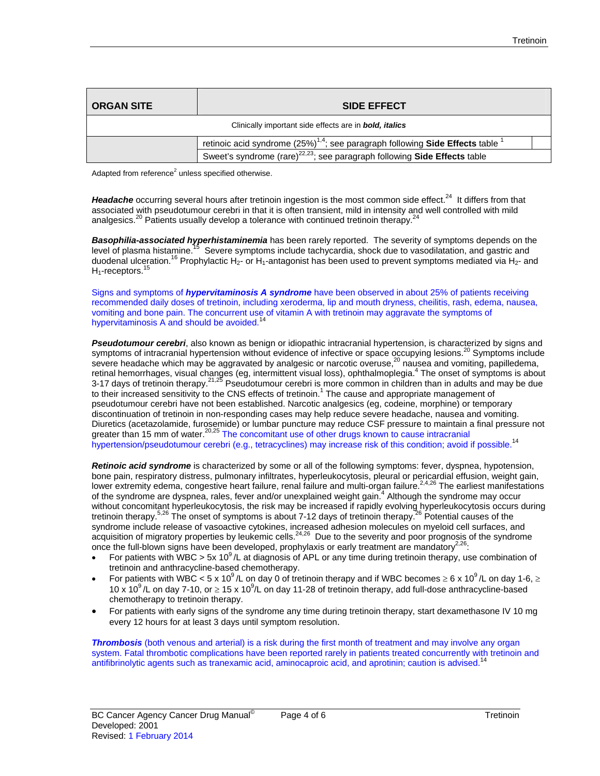| <b>ORGAN SITE</b>                                             | <b>SIDE EFFECT</b>                                                                                        |  |  |
|---------------------------------------------------------------|-----------------------------------------------------------------------------------------------------------|--|--|
| Clinically important side effects are in <b>bold, italics</b> |                                                                                                           |  |  |
|                                                               | retinoic acid syndrome $(25\%)^{1,4}$ ; see paragraph following Side Effects table <sup>1</sup>           |  |  |
|                                                               | Sweet's syndrome (rare) <sup><math>22,23</math></sup> ; see paragraph following <b>Side Effects</b> table |  |  |

Adapted from reference $2$  unless specified otherwise.

Headache occurring several hours after tretinoin ingestion is the most common side effect.<sup>24</sup> It differs from that associated with pseudotumour cerebri in that it is often transient, mild in intensity and well controlled with mild analgesics.<sup>20</sup> Patients usually develop a tolerance with continued tretinoin therapy.<sup>2</sup>

*Basophilia-associated hyperhistaminemia* has been rarely reported. The severity of symptoms depends on the level of plasma histamine.<sup>15</sup> Severe symptoms include tachycardia, shock due to vasodilatation, and gastric and duodenal ulceration.<sup>16</sup> Prophylactic H<sub>2</sub>- or H<sub>1</sub>-antagonist has been used to prevent symptoms mediated via H<sub>2</sub>- and H<sub>1</sub>-receptors.<sup>15</sup>

Signs and symptoms of *hypervitaminosis A syndrome* have been observed in about 25% of patients receiving recommended daily doses of tretinoin, including xeroderma, lip and mouth dryness, cheilitis, rash, edema, nausea, vomiting and bone pain. The concurrent use of vitamin A with tretinoin may aggravate the symptoms of hypervitaminosis A and should be avoided.<sup>14</sup>

*Pseudotumour cerebri*, also known as benign or idiopathic intracranial hypertension, is characterized by signs and symptoms of intracranial hypertension without evidence of infective or space occupying lesions.<sup>20</sup> Symptoms include severe headache which may be aggravated by analgesic or narcotic overuse,<sup>20</sup> nausea and vomiting, papilledema, retinal hemorrhages, visual changes (eg, intermittent visual loss), ophthalmoplegia.<sup>4</sup> The onset of symptoms is about 3-17 days of tretinoin therapy.<sup>21,25</sup> Pseudotumour cerebri is more common in children than in adults and may be due to their increased sensitivity to the CNS effects of tretinoin.<sup>1</sup> The cause and appropriate management of pseudotumour cerebri have not been established. Narcotic analgesics (eg, codeine, morphine) or temporary discontinuation of tretinoin in non-responding cases may help reduce severe headache, nausea and vomiting. Diuretics (acetazolamide, furosemide) or lumbar puncture may reduce CSF pressure to maintain a final pressure not greater than 15 mm of water.<sup>20,25</sup> The concomitant use of other drugs known to cause intracranial hypertension/pseudotumour cerebri (e.g., tetracyclines) may increase risk of this condition; avoid if possible.<sup>14</sup>

*Retinoic acid syndrome* is characterized by some or all of the following symptoms: fever, dyspnea, hypotension, bone pain, respiratory distress, pulmonary infiltrates, hyperleukocytosis, pleural or pericardial effusion, weight gain, lower extremity edema, congestive heart failure, renal failure and multi-organ failure.<sup>2,4,26</sup> The earliest manifestations of the syndrome are dyspnea, rales, fever and/or unexplained weight gain.<sup>4</sup> Although the syndrome may occur without concomitant hyperleukocytosis, the risk may be increased if rapidly evolving hyperleukocytosis occurs during tretinoin therapy.<sup>5,26</sup> The onset of symptoms is about 7-12 days of tretinoin therapy.<sup>26</sup> Potential causes of the syndrome include release of vasoactive cytokines, increased adhesion molecules on myeloid cell surfaces, and acquisition of migratory properties by leukemic cells.<sup>24,26</sup> Due to the severity and poor prognosis of the syndrome once the full-blown signs have been developed, prophylaxis or early treatment are mandatory $^{2,26}$ .

- For patients with WBC > 5x 10<sup>9</sup>/L at diagnosis of APL or any time during tretinoin therapy, use combination of tretinoin and anthracycline-based chemotherapy.
- For patients with WBC < 5 x 10<sup>9</sup>/L on day 0 of tretinoin therapy and if WBC becomes  $\geq 6 \times 10^9$ /L on day 1-6,  $\geq$ 10 x 10<sup>9</sup>/L on day 7-10, or  $\geq 15$  x 10<sup>9</sup>/L on day 11-28 of tretinoin therapy, add full-dose anthracycline-based chemotherapy to tretinoin therapy.
- For patients with early signs of the syndrome any time during tretinoin therapy, start dexamethasone IV 10 mg every 12 hours for at least 3 days until symptom resolution.

**Thrombosis** (both venous and arterial) is a risk during the first month of treatment and may involve any organ system. Fatal thrombotic complications have been reported rarely in patients treated concurrently with tretinoin and antifibrinolytic agents such as tranexamic acid, aminocaproic acid, and aprotinin; caution is advised.<sup>14</sup>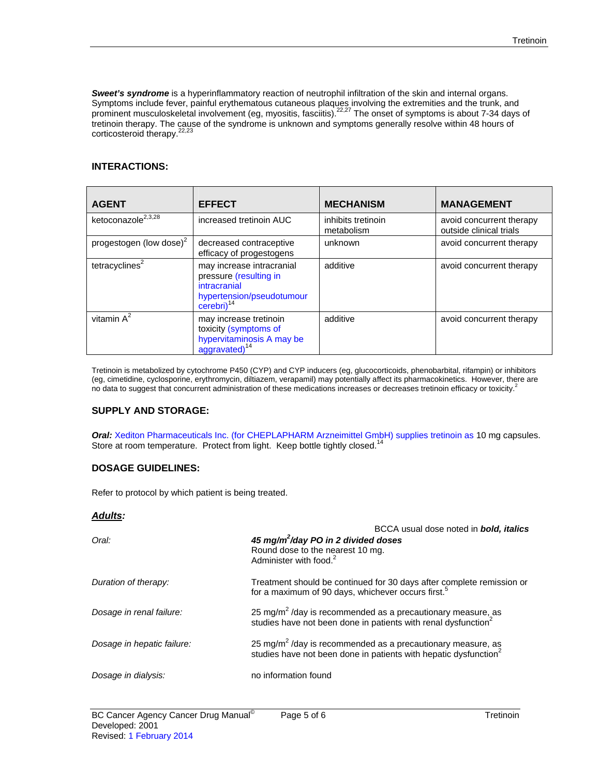**Sweet's syndrome** is a hyperinflammatory reaction of neutrophil infiltration of the skin and internal organs. Symptoms include fever, painful erythematous cutaneous plaques involving the extremities and the trunk, and prominent musculoskeletal involvement (eg, myositis, fasciitis).<sup>22,27</sup> The onset of symptoms is about 7-34 days of tretinoin therapy. The cause of the syndrome is unknown and symptoms generally resolve within 48 hours of corticosteroid therapy.<sup>22,23</sup>

# **INTERACTIONS:**

| <b>AGENT</b>                   | <b>EFFECT</b>                                                                                                               | <b>MECHANISM</b>                 | <b>MANAGEMENT</b>                                   |
|--------------------------------|-----------------------------------------------------------------------------------------------------------------------------|----------------------------------|-----------------------------------------------------|
| ketoconazole <sup>2,3,28</sup> | increased tretinoin AUC                                                                                                     | inhibits tretinoin<br>metabolism | avoid concurrent therapy<br>outside clinical trials |
| progestogen (low dose) $2$     | decreased contraceptive<br>efficacy of progestogens                                                                         | unknown                          | avoid concurrent therapy                            |
| tetracyclines $2$              | may increase intracranial<br>pressure (resulting in<br>intracranial<br>hypertension/pseudotumour<br>$cerebri$ <sup>14</sup> | additive                         | avoid concurrent therapy                            |
| vitamin $A^2$                  | may increase tretinoin<br>toxicity (symptoms of<br>hypervitaminosis A may be<br>aggravated) <sup>14</sup>                   | additive                         | avoid concurrent therapy                            |

Tretinoin is metabolized by cytochrome P450 (CYP) and CYP inducers (eg, glucocorticoids, phenobarbital, rifampin) or inhibitors (eg, cimetidine, cyclosporine, erythromycin, diltiazem, verapamil) may potentially affect its pharmacokinetics. However, there are no data to suggest that concurrent administration of these medications increases or decreases tretinoin efficacy or toxicity.<sup>2</sup>

# **SUPPLY AND STORAGE:**

*Oral:* Xediton Pharmaceuticals Inc. (for CHEPLAPHARM Arzneimittel GmbH) supplies tretinoin as 10 mg capsules. Store at room temperature. Protect from light. Keep bottle tightly closed.<sup>14</sup>

# **DOSAGE GUIDELINES:**

Refer to protocol by which patient is being treated.

#### *Adults:*

| BCCA usual dose noted in <b>bold, italics</b>                                                                                           |  |  |
|-----------------------------------------------------------------------------------------------------------------------------------------|--|--|
| 45 mg/m <sup>2</sup> /day PO in 2 divided doses                                                                                         |  |  |
| Round dose to the nearest 10 mg.                                                                                                        |  |  |
| Administer with food. <sup>2</sup>                                                                                                      |  |  |
| Treatment should be continued for 30 days after complete remission or<br>for a maximum of 90 days, whichever occurs first. <sup>5</sup> |  |  |
| 25 mg/m <sup>2</sup> /day is recommended as a precautionary measure, as                                                                 |  |  |
| studies have not been done in patients with renal dysfunction <sup>2</sup>                                                              |  |  |
| 25 mg/m <sup>2</sup> /day is recommended as a precautionary measure, as                                                                 |  |  |
| studies have not been done in patients with hepatic dysfunction <sup>2</sup>                                                            |  |  |
| no information found                                                                                                                    |  |  |
|                                                                                                                                         |  |  |